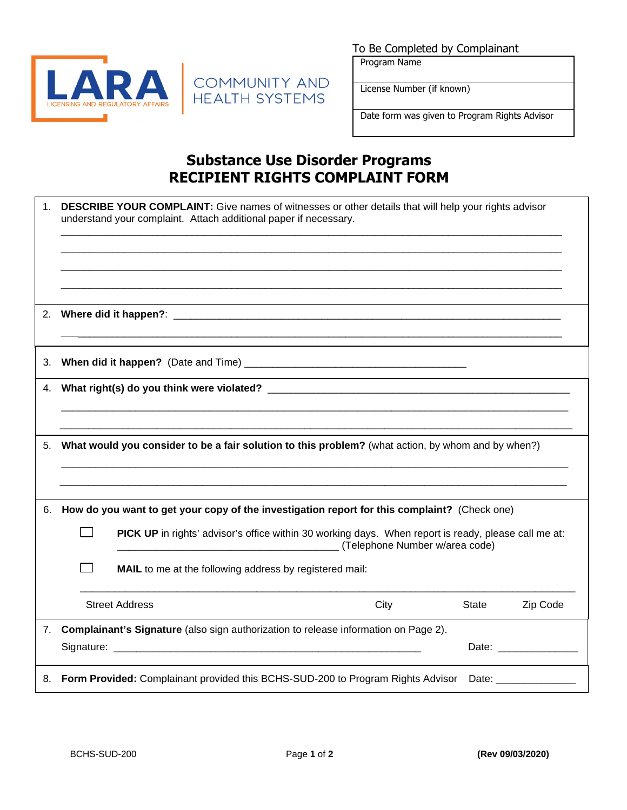

To Be Completed by Complainant

Program Name

License Number (if known)

Date form was given to Program Rights Advisor

## **Substance Use Disorder Programs RECIPIENT RIGHTS COMPLAINT FORM**

COMMUNITY AND<br>HEALTH SYSTEMS

| 1 <sub>1</sub> | DESCRIBE YOUR COMPLAINT: Give names of witnesses or other details that will help your rights advisor<br>understand your complaint. Attach additional paper if necessary. |      |                          |
|----------------|--------------------------------------------------------------------------------------------------------------------------------------------------------------------------|------|--------------------------|
| 2.             |                                                                                                                                                                          |      |                          |
| 3.             |                                                                                                                                                                          |      |                          |
| 4.             |                                                                                                                                                                          |      |                          |
| 5.             | What would you consider to be a fair solution to this problem? (what action, by whom and by when?)                                                                       |      |                          |
| 6.             | How do you want to get your copy of the investigation report for this complaint? (Check one)                                                                             |      |                          |
|                | PICK UP in rights' advisor's office within 30 working days. When report is ready, please call me at:<br>(Telephone Number w/area code)                                   |      |                          |
|                | MAIL to me at the following address by registered mail:                                                                                                                  |      |                          |
|                | <b>Street Address</b>                                                                                                                                                    | City | <b>State</b><br>Zip Code |
| 7.             | Complainant's Signature (also sign authorization to release information on Page 2).                                                                                      |      |                          |
|                |                                                                                                                                                                          |      | Date: _______________    |
| 8.             | <b>Form Provided:</b> Complainant provided this BCHS-SUD-200 to Program Rights Advisor Date:                                                                             |      |                          |